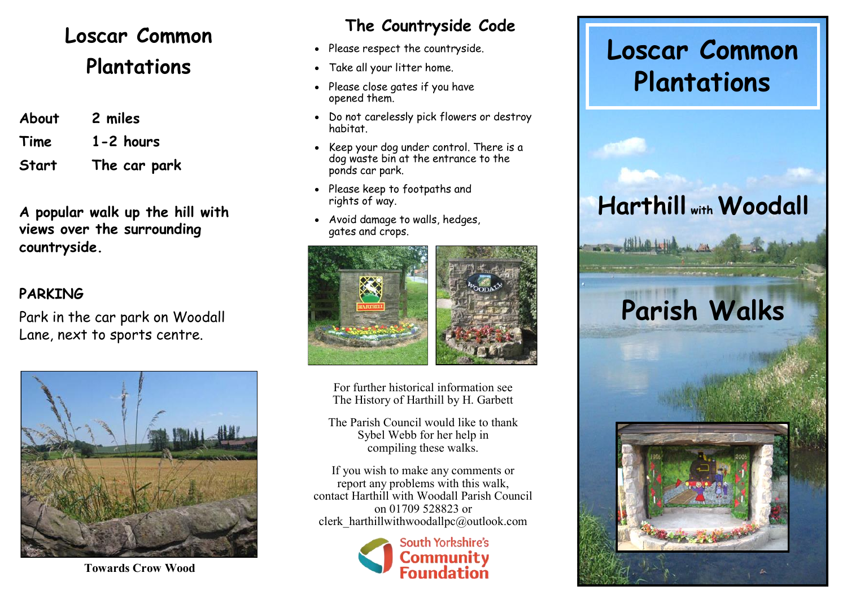### **Loscar Common Plantations**

| About | 2 miles       |
|-------|---------------|
| Time  | $1 - 2$ hours |
| Start | The car park  |

**A popular walk up the hill with views over the surrounding countryside.**

#### **PARKING**

Park in the car park on Woodall Lane, next to sports centre.



 **The Countryside Code**

- Please respect the countryside.
- Take all your litter home.
- Please close gates if you have opened them.
- Do not carelessly pick flowers or destroy habitat.
- Keep your dog under control. There is a dog waste bin at the entrance to the ponds car park.
- Please keep to footpaths and rights of way.
- Avoid damage to walls, hedges, gates and crops.



For further historical information see The History of Harthill by H. Garbett

The Parish Council would like to thank Sybel Webb for her help in compiling these walks.

If you wish to make any comments or report any problems with this walk, contact Harthill with Woodall Parish Council on 01709 528823 or clerk\_harthillwithwoodallpc@outlook.com



## **Loscar Common Plantations**

## **Harthill with Woodall**

# **Parish Walks**



**Towards Crow Wood**